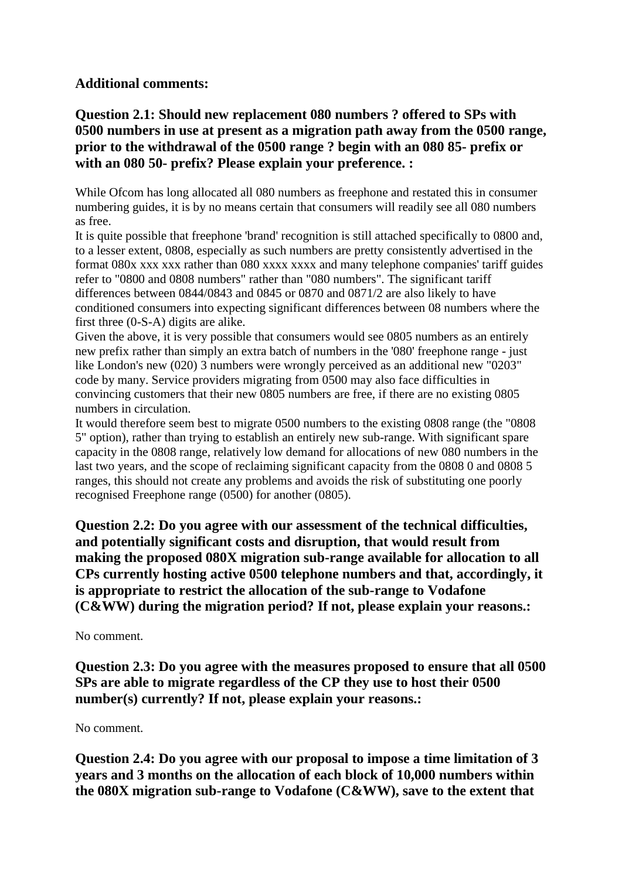### **Additional comments:**

# **Question 2.1: Should new replacement 080 numbers ? offered to SPs with 0500 numbers in use at present as a migration path away from the 0500 range, prior to the withdrawal of the 0500 range ? begin with an 080 85- prefix or with an 080 50- prefix? Please explain your preference. :**

While Ofcom has long allocated all 080 numbers as freephone and restated this in consumer numbering guides, it is by no means certain that consumers will readily see all 080 numbers as free.

It is quite possible that freephone 'brand' recognition is still attached specifically to 0800 and, to a lesser extent, 0808, especially as such numbers are pretty consistently advertised in the format 080x xxx xxx rather than 080 xxxx xxxx and many telephone companies' tariff guides refer to "0800 and 0808 numbers" rather than "080 numbers". The significant tariff differences between 0844/0843 and 0845 or 0870 and 0871/2 are also likely to have conditioned consumers into expecting significant differences between 08 numbers where the first three (0-S-A) digits are alike.

Given the above, it is very possible that consumers would see 0805 numbers as an entirely new prefix rather than simply an extra batch of numbers in the '080' freephone range - just like London's new (020) 3 numbers were wrongly perceived as an additional new "0203" code by many. Service providers migrating from 0500 may also face difficulties in convincing customers that their new 0805 numbers are free, if there are no existing 0805 numbers in circulation.

It would therefore seem best to migrate 0500 numbers to the existing 0808 range (the "0808 5" option), rather than trying to establish an entirely new sub-range. With significant spare capacity in the 0808 range, relatively low demand for allocations of new 080 numbers in the last two years, and the scope of reclaiming significant capacity from the 0808 0 and 0808 5 ranges, this should not create any problems and avoids the risk of substituting one poorly recognised Freephone range (0500) for another (0805).

**Question 2.2: Do you agree with our assessment of the technical difficulties, and potentially significant costs and disruption, that would result from making the proposed 080X migration sub-range available for allocation to all CPs currently hosting active 0500 telephone numbers and that, accordingly, it is appropriate to restrict the allocation of the sub-range to Vodafone (C&WW) during the migration period? If not, please explain your reasons.:**

#### No comment.

**Question 2.3: Do you agree with the measures proposed to ensure that all 0500 SPs are able to migrate regardless of the CP they use to host their 0500 number(s) currently? If not, please explain your reasons.:**

#### No comment.

**Question 2.4: Do you agree with our proposal to impose a time limitation of 3 years and 3 months on the allocation of each block of 10,000 numbers within the 080X migration sub-range to Vodafone (C&WW), save to the extent that**